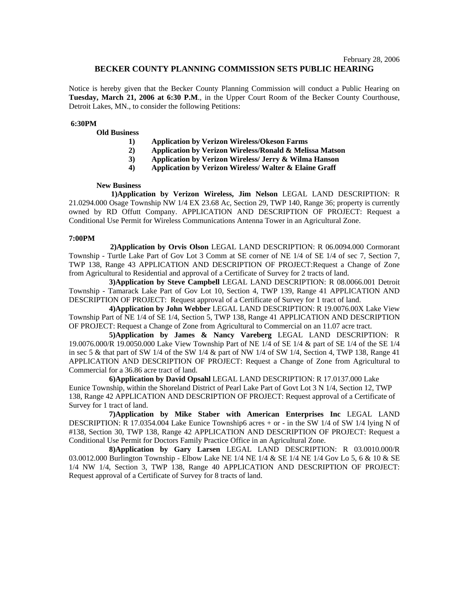# **BECKER COUNTY PLANNING COMMISSION SETS PUBLIC HEARING**

Notice is hereby given that the Becker County Planning Commission will conduct a Public Hearing on **Tuesday, March 21, 2006 at 6:30 P.M**., in the Upper Court Room of the Becker County Courthouse, Detroit Lakes, MN., to consider the following Petitions:

## **6:30PM**

### **Old Business**

- **1) Application by Verizon Wireless/Okeson Farms**
- **2) Application by Verizon Wireless/Ronald & Melissa Matson**
- **3) Application by Verizon Wireless/ Jerry & Wilma Hanson**
- **4) Application by Verizon Wireless/ Walter & Elaine Graff**

#### **New Business**

 **1)Application by Verizon Wireless, Jim Nelson** LEGAL LAND DESCRIPTION: R 21.0294.000 Osage Township NW 1/4 EX 23.68 Ac, Section 29, TWP 140, Range 36; property is currently owned by RD Offutt Company. APPLICATION AND DESCRIPTION OF PROJECT: Request a Conditional Use Permit for Wireless Communications Antenna Tower in an Agricultural Zone.

### **7:00PM**

**2)Application by Orvis Olson** LEGAL LAND DESCRIPTION: R 06.0094.000 Cormorant Township - Turtle Lake Part of Gov Lot 3 Comm at SE corner of NE 1/4 of SE 1/4 of sec 7, Section 7, TWP 138, Range 43 APPLICATION AND DESCRIPTION OF PROJECT:Request a Change of Zone from Agricultural to Residential and approval of a Certificate of Survey for 2 tracts of land.

 **3)Application by Steve Campbell** LEGAL LAND DESCRIPTION: R 08.0066.001 Detroit Township - Tamarack Lake Part of Gov Lot 10, Section 4, TWP 139, Range 41 APPLICATION AND DESCRIPTION OF PROJECT: Request approval of a Certificate of Survey for 1 tract of land.

 **4)Application by John Webber** LEGAL LAND DESCRIPTION: R 19.0076.00X Lake View Township Part of NE 1/4 of SE 1/4, Section 5, TWP 138, Range 41 APPLICATION AND DESCRIPTION OF PROJECT: Request a Change of Zone from Agricultural to Commercial on an 11.07 acre tract.

 **5)Application by James & Nancy Vareberg** LEGAL LAND DESCRIPTION: R 19.0076.000/R 19.0050.000 Lake View Township Part of NE 1/4 of SE 1/4 & part of SE 1/4 of the SE 1/4 in sec 5 & that part of SW 1/4 of the SW 1/4 & part of NW 1/4 of SW 1/4, Section 4, TWP 138, Range 41 APPLICATION AND DESCRIPTION OF PROJECT: Request a Change of Zone from Agricultural to Commercial for a 36.86 acre tract of land.

 **6)Application by David Opsahl** LEGAL LAND DESCRIPTION: R 17.0137.000 Lake Eunice Township, within the Shoreland District of Pearl Lake Part of Govt Lot 3 N 1/4, Section 12, TWP 138, Range 42 APPLICATION AND DESCRIPTION OF PROJECT: Request approval of a Certificate of Survey for 1 tract of land.

 **7)Application by Mike Staber with American Enterprises Inc** LEGAL LAND DESCRIPTION: R 17.0354.004 Lake Eunice Township6 acres + or - in the SW 1/4 of SW 1/4 lying N of #138, Section 30, TWP 138, Range 42 APPLICATION AND DESCRIPTION OF PROJECT: Request a Conditional Use Permit for Doctors Family Practice Office in an Agricultural Zone.

 **8)Application by Gary Larsen** LEGAL LAND DESCRIPTION: R 03.0010.000/R 03.0012.000 Burlington Township - Elbow Lake NE 1/4 NE 1/4 & SE 1/4 NE 1/4 Gov Lo 5, 6 & 10 & SE 1/4 NW 1/4, Section 3, TWP 138, Range 40 APPLICATION AND DESCRIPTION OF PROJECT: Request approval of a Certificate of Survey for 8 tracts of land.